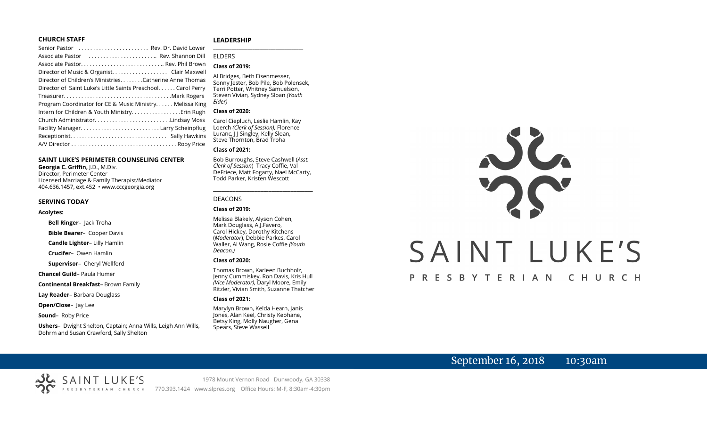#### **CHURCH STAFF**

| Senior Pastor  Rev. Dr. David Lower                           |  |
|---------------------------------------------------------------|--|
| Associate Pastor  Rev. Shannon Dill                           |  |
| Associate Pastor Rev. Phil Brown                              |  |
| Director of Music & Organist. Clair Maxwell                   |  |
| Director of Children's Ministries. Catherine Anne Thomas      |  |
| Director of Saint Luke's Little Saints Preschool. Carol Perry |  |
|                                                               |  |
| Program Coordinator for CE & Music Ministry Melissa King      |  |
| Intern for Children & Youth Ministry Erin Rugh                |  |
|                                                               |  |
|                                                               |  |
|                                                               |  |
|                                                               |  |
|                                                               |  |

#### **SAINT LUKE'S PERIMETER COUNSELING CENTER**

**Georgia C. Griffin,** J.D., M.Div. Director, Perimeter Center Licensed Marriage & Family Therapist/Mediator 404.636.1457, ext.452 • www.cccgeorgia.org

#### **SERVING TODAY**

#### **Acolytes:**

**Bell Ringer**–Jack Troha

**Bible Bearer**–Cooper Davis

**Candle Lighter**– Lilly Hamlin

**Crucifer**–Owen Hamlin

**Supervisor**–Cheryl Wellford

**Chancel Guild**– Paula Humer

**Continental Breakfast**– Brown Family

**Lay Reader**– Barbara Douglass

**Open/Close**– Jay Lee

**Sound**– Roby Price

**Ushers**–Dwight Shelton, Captain; Anna Wills, Leigh Ann Wills, Dohrm and Susan Crawford, Sally Shelton

#### **LEADERSHIP** **\_\_\_\_\_\_\_\_\_\_\_\_\_\_\_\_\_\_\_\_\_\_\_\_\_\_\_\_\_\_\_\_\_\_\_\_\_\_\_**

ELDERS

#### **Class of 2019:**

Al Bridges, Beth Eisenmesser, Sonny Jester, Bob Pile, Bob Polensek, Terri Potter, Whitney Samuelson, Steven Vivian*,* Sydney Sloan *(Youth Elder)*

#### **Class of 2020:**

Carol Ciepluch, Leslie Hamlin, Kay Loerch *(Clerk of Session),* Florence Luranc, J J Singley, Kelly Sloan, Steve Thornton, Brad Troha

#### **Class of 2021:**

Bob Burroughs, Steve Cashwell (*Asst. Clerk of Session*) Tracy Coffie, Val DeFriece, Matt Fogarty, Nael McCarty, Todd Parker, Kristen Wescott

\_\_\_\_\_\_\_\_\_\_\_\_\_\_\_\_\_\_\_\_\_\_\_\_\_\_\_\_\_\_\_\_\_\_\_\_

#### DEACONS

#### **Class of 2019:**

Melissa Blakely, Alyson Cohen, Mark Douglass, A.J.Favero, Carol Hickey, Dorothy Kitchens (*Moderator*), Debbie Parkes, Carol Waller, Al Wang, Rosie Coffie *(Youth Deacon,)* 

#### **Class of 2020:**

Thomas Brown, Karleen Buchholz, Jenny Cummiskey, Ron Davis, Kris Hull *(Vice Moderator),* Daryl Moore, Emily Ritzler, Vivian Smith, Suzanne Thatcher

#### **Class of 2021:**

Marylyn Brown, Kelda Hearn, Janis Jones, Alan Keel, Christy Keohane, Betsy King, Molly Naugher, Gena Spears, Steve Wassell

# NG SAINT LUKE'S PRESBYTERIAN CHURCH

# September 16, 2018 10:30am

1978 Mount Vernon Road Dunwoody, GA 30338 770.393.1424 www.slpres.org Office Hours: M-F, 8:30am-4:30pm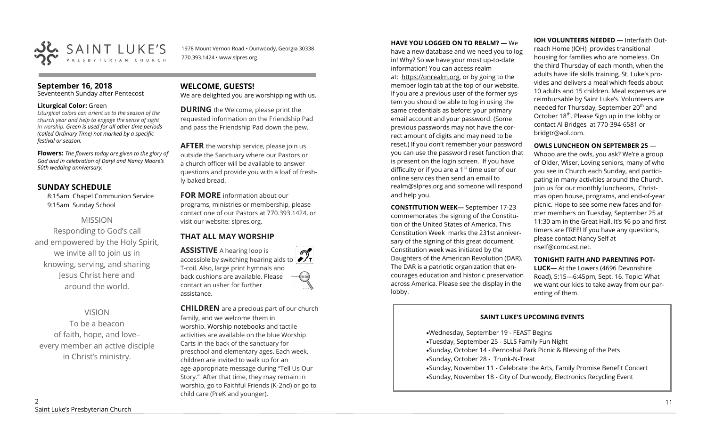

1978 Mount Vernon Road • Dunwoody, Georgia 30338 770.393.1424 • www.slpres.org

# **September 16, 2018**

Seventeenth Sunday after Pentecost

#### **Liturgical Color:** Green

*Liturgical colors can orient us to the season of the church year and help to engage the sense of sight in worship. Green is used for all other time periods (called Ordinary Time) not marked by a specific festival or season.*

**Flowers:** *The flowers today are given to the glory of God and in celebration of Daryl and Nancy Moore's 50th wedding anniversary.*

# **SUNDAY SCHEDULE**

8:15am Chapel Communion Service 9:15am Sunday School

# MISSION

Responding to God's call and empowered by the Holy Spirit, we invite all to join us in knowing, serving, and sharing Jesus Christ here and around the world.

# VISION

To be a beacon of faith, hope, and love– every member an active disciple in Christ's ministry.

# **WELCOME, GUESTS!**

We are delighted you are worshipping with us.

**DURING** the Welcome, please print the requested information on the Friendship Pad and pass the Friendship Pad down the pew.

**AFTER** the worship service, please join us outside the Sanctuary where our Pastors or a church officer will be available to answer questions and provide you with a loaf of freshly-baked bread.

**FOR MORE** information about our programs, ministries or membership, please contact one of our Pastors at 770.393.1424, or visit our website: slpres.org.

# **THAT ALL MAY WORSHIP**

**ASSISTIVE** A hearing loop is **ASSISTIVE** A hearing loop is accessible by switching hearing aids to  $\mathcal{D}$ T-coil. Also, large print hymnals and back cushions are available. Please thistex contact an usher for further assistance.

**CHILDREN** are a precious part of our church family, and we welcome them in worship. Worship notebooks and tactile activities are available on the blue Worship Carts in the back of the sanctuary for preschool and elementary ages. Each week, children are invited to walk up for an age-appropriate message during "Tell Us Our Story." After that time, they may remain in worship, go to Faithful Friends (K-2nd) or go to child care (PreK and younger).

#### **HAVE YOU LOGGED ON TO REALM?** — We

have a new database and we need you to log in! Why? So we have your most up-to-date information! You can access realm at: [https://onrealm.org,](https://onrealm.org) or by going to the member login tab at the top of our website. If you are a previous user of the former system you should be able to log in using the same credentials as before: your primary email account and your password. (Some previous passwords may not have the correct amount of digits and may need to be reset.) If you don't remember your password you can use the password reset function that is present on the login screen. If you have difficulty or if you are a  $1<sup>st</sup>$  time user of our online services then send an email to [realm@slpres.org](mailto:realm@slpres.org) and someone will respond and help you.

**CONSTITUTION WEEK—** September 17-23 commemorates the signing of the Constitution of the United States of America. This Constitution Week marks the 231st anniversary of the signing of this great document. Constitution week was initiated by the Daughters of the American Revolution (DAR). The DAR is a patriotic organization that encourages education and historic preservation across America. Please see the display in the lobby.

**IOH VOLUNTEERS NEEDED —** Interfaith Outreach Home (IOH) provides transitional housing for families who are homeless. On the third Thursday of each month, when the adults have life skills training, St. Luke's provides and delivers a meal which feeds about 10 adults and 15 children. Meal expenses are reimbursable by Saint Luke's. Volunteers are needed for Thursday, September 20<sup>th</sup> and October 18<sup>th</sup>. Please Sign up in the lobby or contact Al Bridges at 770-394-6581 or bridgtr@aol.com.

#### **OWLS LUNCHEON ON SEPTEMBER 25** —

Whooo are the owls, you ask? We're a group of Older, Wiser, Loving seniors, many of who you see in Church each Sunday, and participating in many activities around the Church. Join us for our monthly luncheons, Christmas open house, programs, and end-of-year picnic. Hope to see some new faces and former members on Tuesday, September 25 at 11:30 am in the Great Hall. It's \$6 pp and first timers are FREE! If you have any questions, please contact Nancy Self at nself@comcast.net.

#### **TONIGHT! FAITH AND PARENTING POT-**

**LUCK—** At the Lowers (4696 Devonshire Road), 5:15—6:45pm, Sept. 16. Topic: What we want our kids to take away from our parenting of them.

#### **SAINT LUKE'S UPCOMING EVENTS**

•Wednesday, September 19 - FEAST Begins •Tuesday, September 25 - SLLS Family Fun Night •Sunday, October 14 - Pernoshal Park Picnic & Blessing of the Pets •Sunday, October 28 - Trunk-N-Treat •Sunday, November 11 - Celebrate the Arts, Family Promise Benefit Concert •Sunday, November 18 - City of Dunwoody, Electronics Recycling Event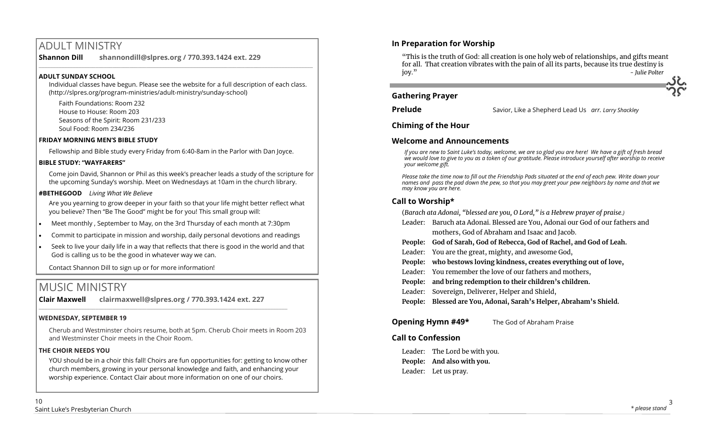# ADULT MINISTRY

**Shannon Dill shannondill@slpres.org / 770.393.1424 ext. 229**   $\_$  ,  $\_$  ,  $\_$  ,  $\_$  ,  $\_$  ,  $\_$  ,  $\_$  ,  $\_$  ,  $\_$  ,  $\_$  ,  $\_$  ,  $\_$  ,  $\_$  ,  $\_$  ,  $\_$  ,  $\_$  ,  $\_$  ,  $\_$  ,  $\_$  ,  $\_$ 

#### **ADULT SUNDAY SCHOOL**

Individual classes have begun. Please see the website for a full description of each class. (http://slpres.org/program-ministries/adult-ministry/sunday-school)

Faith Foundations: Room 232 House to House: Room 203 Seasons of the Spirit: Room 231/233 Soul Food: Room 234/236

#### **FRIDAY MORNING MEN'S BIBLE STUDY**

Fellowship and Bible study every Friday from 6:40-8am in the Parlor with Dan Joyce.

#### **BIBLE STUDY: "WAYFARERS"**

Come join David, Shannon or Phil as this week's preacher leads a study of the scripture for the upcoming Sunday's worship. Meet on Wednesdays at 10am in the church library.

#### **#BETHEGOOD** *Living What We Believe*

Are you yearning to grow deeper in your faith so that your life might better reflect what you believe? Then "Be The Good" might be for you! This small group will:

- Meet monthly , September to May, on the 3rd Thursday of each month at 7:30pm
- Commit to participate in mission and worship, daily personal devotions and readings
- Seek to live your daily life in a way that reflects that there is good in the world and that God is calling us to be the good in whatever way we can.

Contact Shannon Dill to sign up or for more information!

# MUSIC MINISTRY

**Clair Maxwell clairmaxwell@slpres.org / 770.393.1424 ext. 227** 

 $\_$  , and the set of the set of the set of the set of the set of the set of the set of the set of the set of the set of the set of the set of the set of the set of the set of the set of the set of the set of the set of th

# **WEDNESDAY, SEPTEMBER 19**

Cherub and Westminster choirs resume, both at 5pm. Cherub Choir meets in Room 203 and Westminster Choir meets in the Choir Room.

# **THE CHOIR NEEDS YOU**

YOU should be in a choir this fall! Choirs are fun opportunities for: getting to know other church members, growing in your personal knowledge and faith, and enhancing your worship experience. Contact Clair about more information on one of our choirs.

"This is the truth of God: all creation is one holy web of relationships, and gifts meant for all. That creation vibrates with the pain of all its parts, because its true destiny is joy." *- Julie Polter*

# **Gathering Prayer**

**Prelude** Savior, Like a Shepherd Lead Us *arr. Larry Shackley*

# **Chiming of the Hour**

# **Welcome and Announcements**

*If you are new to Saint Luke's today, welcome, we are so glad you are here! We have a gift of fresh bread we would love to give to you as a token of our gratitude. Please introduce yourself after worship to receive your welcome gift.*

*Please take the time now to fill out the Friendship Pads situated at the end of each pew. Write down your names and pass the pad down the pew, so that you may greet your pew neighbors by name and that we may know you are here.*

# **Call to Worship\***

(*Barach ata Adonai, "blessed are you, O Lord," is a Hebrew prayer of praise.)*

- Leader: Baruch ata Adonai. Blessed are You, Adonai our God of our fathers and mothers, God of Abraham and Isaac and Jacob.
- **People: God of Sarah, God of Rebecca, God of Rachel, and God of Leah.**
- Leader: You are the great, mighty, and awesome God,
- **People: who bestows loving kindness, creates everything out of love,**
- Leader: You remember the love of our fathers and mothers,
- **People: and bring redemption to their children's children.**
- Leader: Sovereign, Deliverer, Helper and Shield,
- **People: Blessed are You, Adonai, Sarah's Helper, Abraham's Shield.**

# **Opening Hymn #49\*** The God of Abraham Praise

# **Call to Confession**

Leader: The Lord be with you. **People: And also with you.** Leader: Let us pray.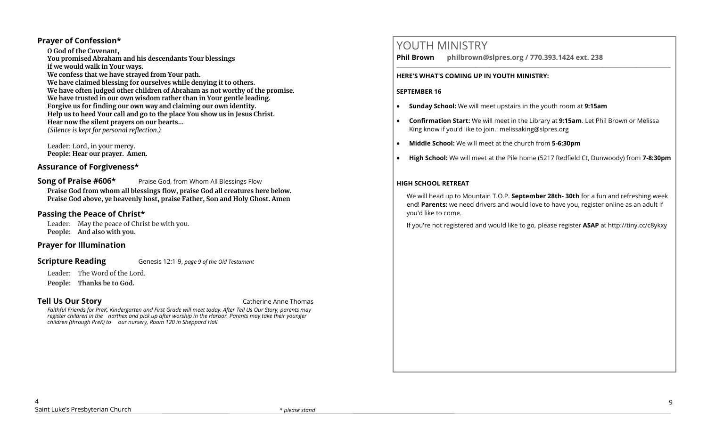# **Prayer of Confession\***

**O God of the Covenant, You promised Abraham and his descendants Your blessings if we would walk in Your ways. We confess that we have strayed from Your path. We have claimed blessing for ourselves while denying it to others. We have often judged other children of Abraham as not worthy of the promise. We have trusted in our own wisdom rather than in Your gentle leading. Forgive us for finding our own way and claiming our own identity. Help us to heed Your call and go to the place You show us in Jesus Christ. Hear now the silent prayers on our hearts...** *(Silence is kept for personal reflection.)*

Leader: Lord, in your mercy. **People: Hear our prayer. Amen.**

# **Assurance of Forgiveness\***

**Song of Praise #606\*** Praise God, from Whom All Blessings Flow **Praise God from whom all blessings flow, praise God all creatures here below. Praise God above, ye heavenly host, praise Father, Son and Holy Ghost. Amen**

# **Passing the Peace of Christ\***

Leader: May the peace of Christ be with you. **People: And also with you.**

#### **Prayer for Illumination**

#### **Scripture Reading** Genesis 12:1-9, *page 9 of the Old Testament*

Leader: The Word of the Lord.

**People: Thanks be to God.** 

**Tell Us Our Story Catherine Anne Thomas** 

*Faithful Friends for PreK, Kindergarten and First Grade will meet today. After Tell Us Our Story, parents may register children in the narthex and pick up after worship in the Harbor. Parents may take their younger children (through PreK) to our nursery, Room 120 in Sheppard Hall.* 

# YOUTH MINISTRY

**Phil Brown philbrown@slpres.org / 770.393.1424 ext. 238** 

#### **HERE'S WHAT'S COMING UP IN YOUTH MINISTRY:**

#### **SEPTEMBER 16**

- **Sunday School:** We will meet upstairs in the youth room at **9:15am**
- **Confirmation Start:** We will meet in the Library at **9:15am**. Let Phil Brown or Melissa King know if you'd like to join.: melissaking@slpres.org

 $\_$  ,  $\_$  ,  $\_$  ,  $\_$  ,  $\_$  ,  $\_$  ,  $\_$  ,  $\_$  ,  $\_$  ,  $\_$  ,  $\_$  ,  $\_$  ,  $\_$  ,  $\_$  ,  $\_$  ,  $\_$  ,  $\_$  ,  $\_$  ,  $\_$ 

- **Middle School:** We will meet at the church from **5-6:30pm**
- **High School:** We will meet at the Pile home (5217 Redfield Ct, Dunwoody) from **7-8:30pm**

#### **HIGH SCHOOL RETREAT**

We will head up to Mountain T.O.P. **September 28th- 30th** for a fun and refreshing week end! **Parents:** we need drivers and would love to have you, register online as an adult if you'd like to come.

If you're not registered and would like to go, please register **ASAP** at <http://tiny.cc/c8ykxy>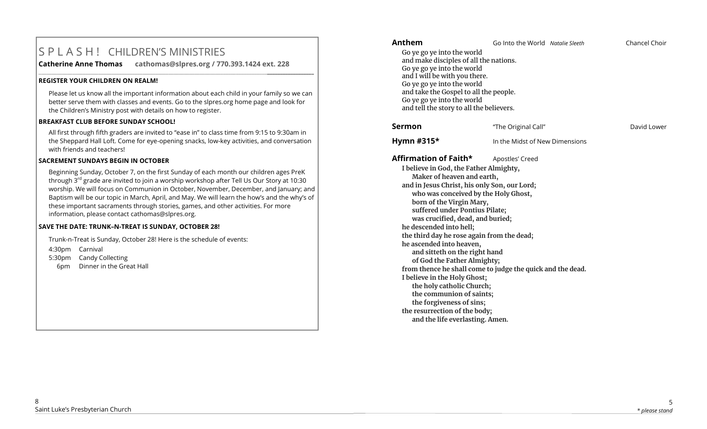# S P L A S H ! CHILDREN'S MINISTRIES

**Catherine Anne Thomas cathomas@slpres.org / 770.393.1424 ext. 228** 

#### **REGISTER YOUR CHILDREN ON REALM!**

Please let us know all the important information about each child in your family so we can better serve them with classes and events. Go to the slpres.org home page and look for the Children's Ministry post with details on how to register.

**\_\_\_\_\_\_\_\_\_\_\_\_\_\_\_\_\_\_\_\_\_\_\_\_\_\_\_\_\_\_\_\_\_\_\_\_\_\_\_\_\_\_\_\_\_\_\_\_\_\_\_\_\_\_\_\_\_\_\_\_\_\_\_\_\_\_\_\_\_\_\_\_\_\_\_\_\_\_\_\_\_\_\_\_\_\_\_\_\_\_\_\_\_\_\_\_\_\_\_\_\_\_\_\_\_\_** 

#### **BREAKFAST CLUB BEFORE SUNDAY SCHOOL!**

All first through fifth graders are invited to "ease in" to class time from 9:15 to 9:30am in the Sheppard Hall Loft. Come for eye-opening snacks, low-key activities, and conversation with friends and teachers!

#### **SACREMENT SUNDAYS BEGIN IN OCTOBER**

Beginning Sunday, October 7, on the first Sunday of each month our children ages PreK through 3<sup>rd</sup> grade are invited to join a worship workshop after Tell Us Our Story at 10:30 worship. We will focus on Communion in October, November, December, and January; and Baptism will be our topic in March, April, and May. We will learn the how's and the why's of these important sacraments through stories, games, and other activities. For more information, please contact [cathomas@slpres.org.](mailto:cathomas@slpres.org) 

#### **SAVE THE DATE: TRUNK–N-TREAT IS SUNDAY, OCTOBER 28!**

Trunk-n-Treat is Sunday, October 28! Here is the schedule of events: 4:30pm Carnival 5:30pm Candy Collecting 6pm Dinner in the Great Hall

| Anthem                                                                                                                                                                                                                                                                                                                                                                                                                                                                                                                                                                                                                                                                                     | Go Into the World Natalie Sleeth | Chancel Choir |
|--------------------------------------------------------------------------------------------------------------------------------------------------------------------------------------------------------------------------------------------------------------------------------------------------------------------------------------------------------------------------------------------------------------------------------------------------------------------------------------------------------------------------------------------------------------------------------------------------------------------------------------------------------------------------------------------|----------------------------------|---------------|
| Go ye go ye into the world<br>and make disciples of all the nations.<br>Go ye go ye into the world<br>and I will be with you there.<br>Go ye go ye into the world<br>and take the Gospel to all the people.<br>Go ye go ye into the world<br>and tell the story to all the believers.                                                                                                                                                                                                                                                                                                                                                                                                      |                                  |               |
| <b>Sermon</b>                                                                                                                                                                                                                                                                                                                                                                                                                                                                                                                                                                                                                                                                              | "The Original Call"              | David Lower   |
| Hymn #315*                                                                                                                                                                                                                                                                                                                                                                                                                                                                                                                                                                                                                                                                                 | In the Midst of New Dimensions   |               |
| Affirmation of Faith*                                                                                                                                                                                                                                                                                                                                                                                                                                                                                                                                                                                                                                                                      | Apostles' Creed                  |               |
| I believe in God, the Father Almighty,<br>Maker of heaven and earth,<br>and in Jesus Christ, his only Son, our Lord;<br>who was conceived by the Holy Ghost,<br>born of the Virgin Mary,<br>suffered under Pontius Pilate;<br>was crucified, dead, and buried;<br>he descended into hell;<br>the third day he rose again from the dead;<br>he ascended into heaven,<br>and sitteth on the right hand<br>of God the Father Almighty;<br>from thence he shall come to judge the quick and the dead.<br>I believe in the Holy Ghost;<br>the holy catholic Church;<br>the communion of saints;<br>the forgiveness of sins;<br>the resurrection of the body;<br>and the life everlasting. Amen. |                                  |               |